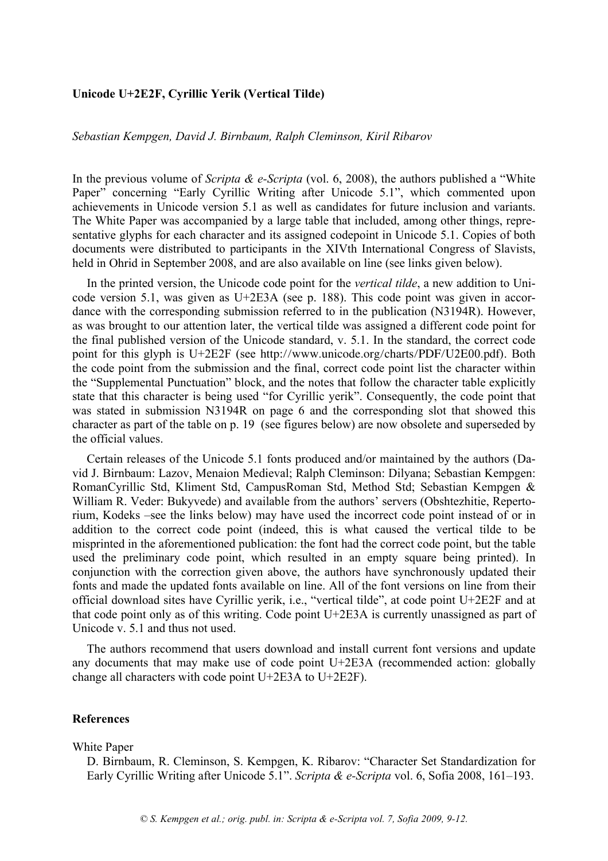# **Unicode U+2E2F, Cyrillic Yerik (Vertical Tilde)**

## *Sebastian Kempgen, David J. Birnbaum, Ralph Cleminson, Kiril Ribarov*

In the previous volume of *Scripta & e-Scripta* (vol. 6, 2008), the authors published a "White Paper" concerning "Early Cyrillic Writing after Unicode 5.1", which commented upon achievements in Unicode version 5.1 as well as candidates for future inclusion and variants. The White Paper was accompanied by a large table that included, among other things, representative glyphs for each character and its assigned codepoint in Unicode 5.1. Copies of both documents were distributed to participants in the XIVth International Congress of Slavists, held in Ohrid in September 2008, and are also available on line (see links given below).

In the printed version, the Unicode code point for the *vertical tilde*, a new addition to Unicode version 5.1, was given as U+2E3A (see p. 188). This code point was given in accordance with the corresponding submission referred to in the publication (N3194R). However, as was brought to our attention later, the vertical tilde was assigned a different code point for the final published version of the Unicode standard, v. 5.1. In the standard, the correct code point for this glyph is U+2E2F (see http://www.unicode.org/charts/PDF/U2E00.pdf). Both the code point from the submission and the final, correct code point list the character within the "Supplemental Punctuation" block, and the notes that follow the character table explicitly state that this character is being used "for Cyrillic yerik". Consequently, the code point that was stated in submission N3194R on page 6 and the corresponding slot that showed this character as part of the table on p. 19 (see figures below) are now obsolete and superseded by the official values.

Certain releases of the Unicode 5.1 fonts produced and/or maintained by the authors (David J. Birnbaum: Lazov, Menaion Medieval; Ralph Cleminson: Dilyana; Sebastian Kempgen: RomanCyrillic Std, Kliment Std, CampusRoman Std, Method Std; Sebastian Kempgen & William R. Veder: Bukyvede) and available from the authors' servers (Obshtezhitie, Repertorium, Kodeks –see the links below) may have used the incorrect code point instead of or in addition to the correct code point (indeed, this is what caused the vertical tilde to be misprinted in the aforementioned publication: the font had the correct code point, but the table used the preliminary code point, which resulted in an empty square being printed). In conjunction with the correction given above, the authors have synchronously updated their fonts and made the updated fonts available on line. All of the font versions on line from their official download sites have Cyrillic yerik, i.e., "vertical tilde", at code point U+2E2F and at that code point only as of this writing. Code point U+2E3A is currently unassigned as part of Unicode v. 5.1 and thus not used.

The authors recommend that users download and install current font versions and update any documents that may make use of code point U+2E3A (recommended action: globally change all characters with code point U+2E3A to U+2E2F).

### **References**

#### White Paper

D. Birnbaum, R. Cleminson, S. Kempgen, K. Ribarov: "Character Set Standardization for Early Cyrillic Writing after Unicode 5.1". *Scripta & e-Scripta* vol. 6, Sofia 2008, 161–193.